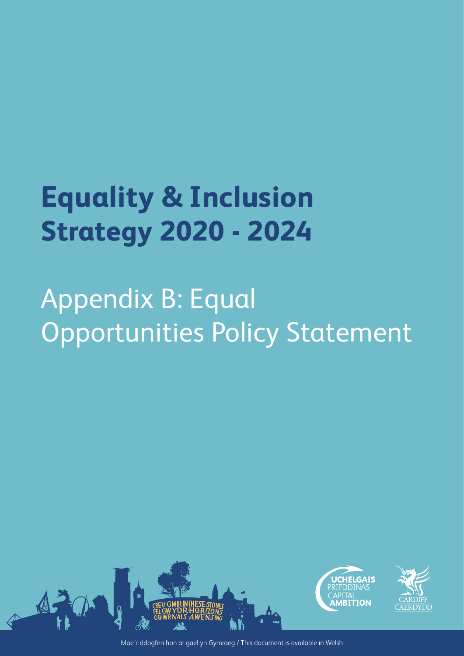# **Equality & Inclusion Strategy 2020 - 2024**

# Appendix B: Equal Opportunities Policy Statement



Mae'r ddogfen hon ar gael yn Gymraeg / This document is available in Welsh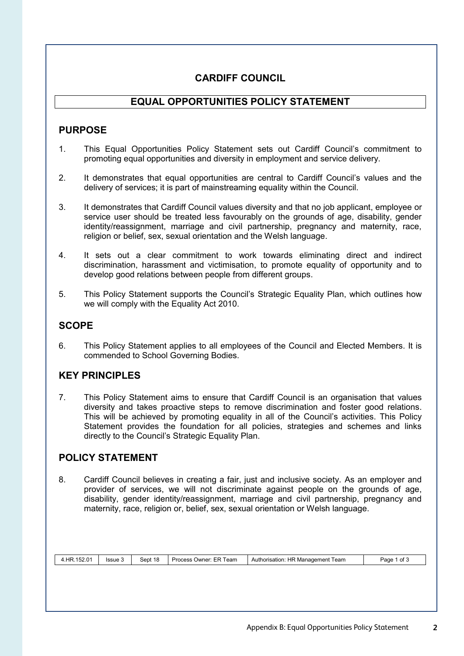# **CARDIFF COUNCIL**

## **EQUAL OPPORTUNITIES POLICY STATEMENT**

## **PURPOSE**

- 1. This Equal Opportunities Policy Statement sets out Cardiff Council's commitment to promoting equal opportunities and diversity in employment and service delivery.
- 2. It demonstrates that equal opportunities are central to Cardiff Council's values and the delivery of services; it is part of mainstreaming equality within the Council.
- 3. It demonstrates that Cardiff Council values diversity and that no job applicant, employee or service user should be treated less favourably on the grounds of age, disability, gender identity/reassignment, marriage and civil partnership, pregnancy and maternity, race, religion or belief, sex, sexual orientation and the Welsh language.
- 4. It sets out a clear commitment to work towards eliminating direct and indirect discrimination, harassment and victimisation, to promote equality of opportunity and to develop good relations between people from different groups.
- 5. This Policy Statement supports the Council's Strategic Equality Plan, which outlines how we will comply with the Equality Act 2010.

### **SCOPE**

6. This Policy Statement applies to all employees of the Council and Elected Members. It is commended to School Governing Bodies.

# **KEY PRINCIPLES**

7. This Policy Statement aims to ensure that Cardiff Council is an organisation that values diversity and takes proactive steps to remove discrimination and foster good relations. This will be achieved by promoting equality in all of the Council's activities. This Policy Statement provides the foundation for all policies, strategies and schemes and links directly to the Council's Strategic Equality Plan.

## **POLICY STATEMENT**

8. Cardiff Council believes in creating a fair, just and inclusive society. As an employer and provider of services, we will not discriminate against people on the grounds of age, disability, gender identity/reassignment, marriage and civil partnership, pregnancy and maternity, race, religion or, belief, sex, sexual orientation or Welsh language.

| 4.HR.152.01 | Issue 3 | Sept 18 | Process Owner: ER Team | Authorisation: HR Management Team | Page 1 of 3 |
|-------------|---------|---------|------------------------|-----------------------------------|-------------|
|             |         |         |                        |                                   |             |
|             |         |         |                        |                                   |             |
|             |         |         |                        |                                   |             |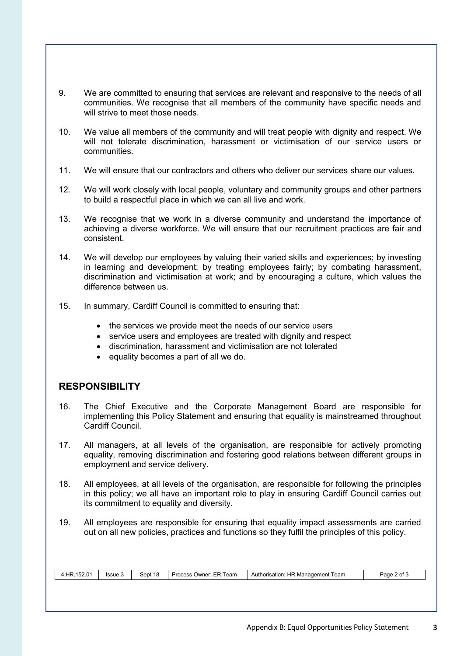- 9. We are committed to ensuring that services are relevant and responsive to the needs of all communities. We recognise that all members of the community have specific needs and will strive to meet those needs.
- 10. We value all members of the community and will treat people with dignity and respect. We will not tolerate discrimination, harassment or victimisation of our service users or communities.
- 11. We will ensure that our contractors and others who deliver our services share our values.
- 12. We will work closely with local people, voluntary and community groups and other partners to build a respectful place in which we can all live and work.
- 13. We recognise that we work in a diverse community and understand the importance of achieving a diverse workforce. We will ensure that our recruitment practices are fair and consistent.
- 14. We will develop our employees by valuing their varied skills and experiences; by investing in learning and development; by treating employees fairly; by combating harassment, discrimination and victimisation at work; and by encouraging a culture, which values the difference between us.
- 15. In summary, Cardiff Council is committed to ensuring that:
	- the services we provide meet the needs of our service users
	- service users and employees are treated with dignity and respect
	- discrimination, harassment and victimisation are not tolerated
	- equality becomes a part of all we do.

## **RESPONSIBILITY**

- 16. The Chief Executive and the Corporate Management Board are responsible for implementing this Policy Statement and ensuring that equality is mainstreamed throughout Cardiff Council.
- 17. All managers, at all levels of the organisation, are responsible for actively promoting equality, removing discrimination and fostering good relations between different groups in employment and service delivery.
- 18. All employees, at all levels of the organisation, are responsible for following the principles in this policy; we all have an important role to play in ensuring Cardiff Council carries out its commitment to equality and diversity.
- 19. All employees are responsible for ensuring that equality impact assessments are carried out on all new policies, practices and functions so they fulfil the principles of this policy.

| 4.HR.152.01 | Issue 3 | Sept 18 | Process Owner: ER Team | Authorisation: HR Management Team | Page 2 of 3 |
|-------------|---------|---------|------------------------|-----------------------------------|-------------|
|             |         |         |                        |                                   |             |
|             |         |         |                        |                                   |             |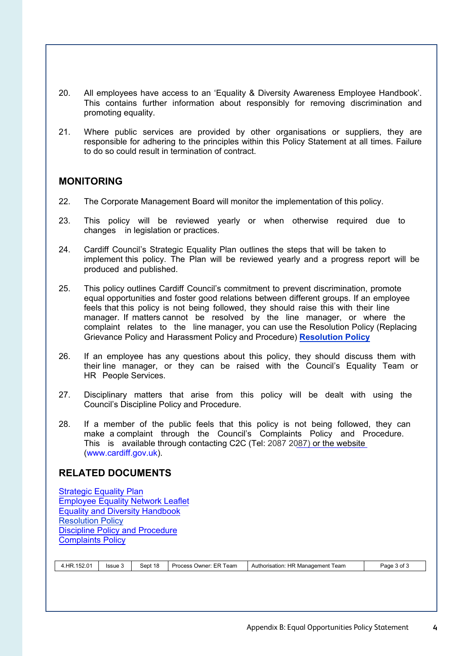- 20. All employees have access to an 'Equality & Diversity Awareness Employee Handbook'. This contains further information about responsibly for removing discrimination and promoting equality.
- 21. Where public services are provided by other organisations or suppliers, they are responsible for adhering to the principles within this Policy Statement at all times. Failure to do so could result in termination of contract.

### **MONITORING**

- 22. The Corporate Management Board will monitor the implementation of this policy.
- 23. This policy will be reviewed yearly or when otherwise required due to changes in legislation or practices.
- 24. Cardiff Council's Strategic Equality Plan outlines the steps that will be taken to implement this policy. The Plan will be reviewed yearly and a progress report will be produced and published.
- 25. This policy outlines Cardiff Council's commitment to prevent discrimination, promote equal opportunities and foster good relations between different groups. If an employee feels that this policy is not being followed, they should raise this with their line manager. If matters cannot be resolved by the line manager, or where the complaint relates to the line manager, you can use the Resolution Policy (Replacing Grievance Policy and Harassment Policy and Procedure) **Resolution Policy**
- 26. If an employee has any questions about this policy, they should discuss them with their line manager, or they can be raised with the Council's Equality Team or HR People Services.
- 27. Disciplinary matters that arise from this policy will be dealt with using the Council's Discipline Policy and Procedure.
- 28. If a member of the public feels that this policy is not being followed, they can make a complaint through the Council's Complaints Policy and Procedure. This is available through contacting C2C (Tel: 2087 2087) or the website (www.cardiff.gov.uk).

#### **RELATED DOCUMENTS**

| Sept 18<br>HR.152.01<br>. HR<br>Authorisation <sup>.</sup><br>Team<br><b>Issue 3</b><br>Process<br>Owner: ER<br>Manadement | Page .<br>I eam<br>$\sim$<br>v |
|----------------------------------------------------------------------------------------------------------------------------|--------------------------------|
|----------------------------------------------------------------------------------------------------------------------------|--------------------------------|